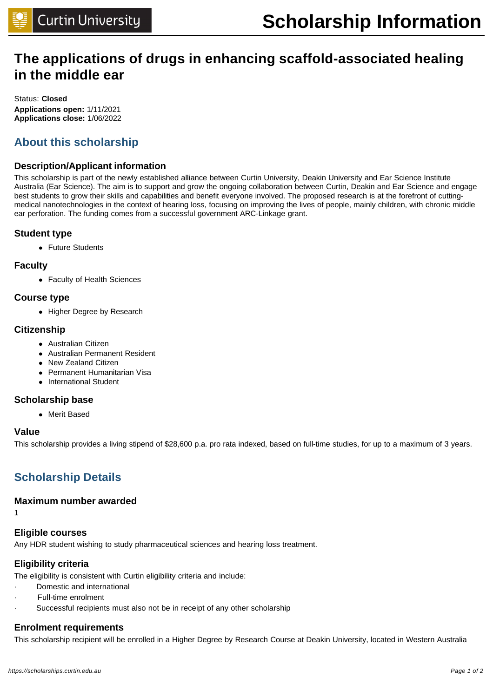# **The applications of drugs in enhancing scaffold-associated healing in the middle ear**

Status: **Closed Applications open:** 1/11/2021 **Applications close:** 1/06/2022

# **About this scholarship**

### **Description/Applicant information**

This scholarship is part of the newly established alliance between Curtin University, Deakin University and Ear Science Institute Australia (Ear Science). The aim is to support and grow the ongoing collaboration between Curtin, Deakin and Ear Science and engage best students to grow their skills and capabilities and benefit everyone involved. The proposed research is at the forefront of cuttingmedical nanotechnologies in the context of hearing loss, focusing on improving the lives of people, mainly children, with chronic middle ear perforation. The funding comes from a successful government ARC-Linkage grant.

#### **Student type**

• Future Students

#### **Faculty**

• Faculty of Health Sciences

#### **Course type**

• Higher Degree by Research

#### **Citizenship**

- Australian Citizen
- Australian Permanent Resident
- New Zealand Citizen
- **Permanent Humanitarian Visa**
- International Student

#### **Scholarship base**

• Merit Based

#### **Value**

This scholarship provides a living stipend of \$28,600 p.a. pro rata indexed, based on full-time studies, for up to a maximum of 3 years.

# **Scholarship Details**

#### **Maximum number awarded**

1

### **Eligible courses**

Any HDR student wishing to study pharmaceutical sciences and hearing loss treatment.

### **Eligibility criteria**

The eligibility is consistent with Curtin eligibility criteria and include:

- · Domestic and international
- · Full-time enrolment
- Successful recipients must also not be in receipt of any other scholarship

### **Enrolment requirements**

This scholarship recipient will be enrolled in a Higher Degree by Research Course at Deakin University, located in Western Australia